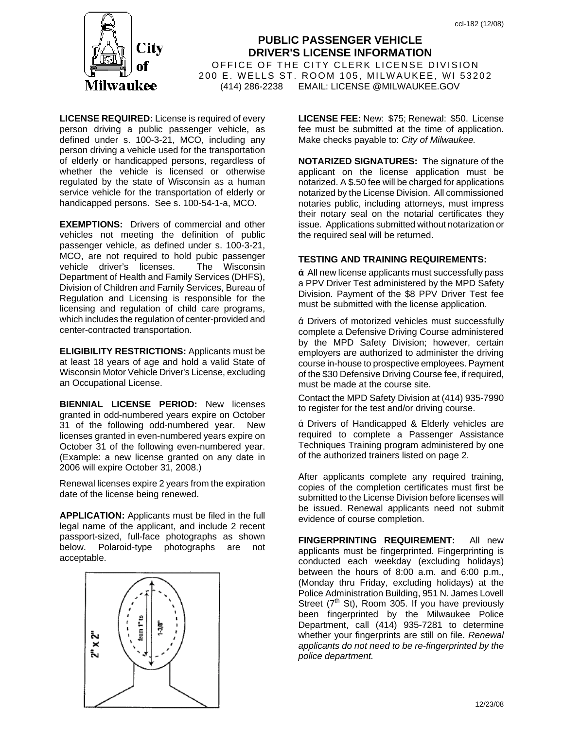

**PUBLIC PASSENGER VEHICLE DRIVER'S LICENSE INFORMATION** OFFICE OF THE CITY CLERK LICENSE DIVISION 200 E. WELLS ST. ROOM 105, MILWAUKEE, WI 53202 (414) 286-2238 EMAIL: LICENSE @MILWAUKEE.GOV

**LICENSE REQUIRED:** License is required of every person driving a public passenger vehicle, as defined under s. 100-3-21, MCO, including any person driving a vehicle used for the transportation of elderly or handicapped persons, regardless of whether the vehicle is licensed or otherwise regulated by the state of Wisconsin as a human service vehicle for the transportation of elderly or handicapped persons. See s. 100-54-1-a, MCO.

**EXEMPTIONS:** Drivers of commercial and other vehicles not meeting the definition of public passenger vehicle, as defined under s. 100-3-21, MCO, are not required to hold pubic passenger vehicle driver's licenses. The Wisconsin Department of Health and Family Services (DHFS), Division of Children and Family Services, Bureau of Regulation and Licensing is responsible for the licensing and regulation of child care programs, which includes the regulation of center-provided and center-contracted transportation.

**ELIGIBILITY RESTRICTIONS:** Applicants must be at least 18 years of age and hold a valid State of Wisconsin Motor Vehicle Driver's License, excluding an Occupational License.

**BIENNIAL LICENSE PERIOD:** New licenses granted in odd-numbered years expire on October 31 of the following odd-numbered year. New licenses granted in even-numbered years expire on October 31 of the following even-numbered year. (Example: a new license granted on any date in 2006 will expire October 31, 2008.)

Renewal licenses expire 2 years from the expiration date of the license being renewed.

**APPLICATION:** Applicants must be filed in the full legal name of the applicant, and include 2 recent passport-sized, full-face photographs as shown below. Polaroid-type photographs are not acceptable.



**LICENSE FEE:** New: \$75; Renewal: \$50. License fee must be submitted at the time of application. Make checks payable to: *City of Milwaukee.* 

**NOTARIZED SIGNATURES: T**he signature of the applicant on the license application must be notarized. A \$.50 fee will be charged for applications notarized by the License Division. All commissioned notaries public, including attorneys, must impress their notary seal on the notarial certificates they issue. Applications submitted without notarization or the required seal will be returned.

## **TESTING AND TRAINING REQUIREMENTS:**

All new license applicants must successfully pass a PPV Driver Test administered by the MPD Safety Division. Payment of the \$8 PPV Driver Test fee must be submitted with the license application.

Drivers of motorized vehicles must successfully complete a Defensive Driving Course administered by the MPD Safety Division; however, certain employers are authorized to administer the driving course in-house to prospective employees. Payment of the \$30 Defensive Driving Course fee, if required, must be made at the course site.

Contact the MPD Safety Division at (414) 935-7990 to register for the test and/or driving course.

Drivers of Handicapped & Elderly vehicles are required to complete a Passenger Assistance Techniques Training program administered by one of the authorized trainers listed on page 2.

After applicants complete any required training, copies of the completion certificates must first be submitted to the License Division before licenses will be issued. Renewal applicants need not submit evidence of course completion.

**FINGERPRINTING REQUIREMENT:** All new applicants must be fingerprinted. Fingerprinting is conducted each weekday (excluding holidays) between the hours of 8:00 a.m. and 6:00 p.m., (Monday thru Friday, excluding holidays) at the Police Administration Building, 951 N. James Lovell Street ( $7<sup>th</sup>$  St), Room 305. If you have previously been fingerprinted by the Milwaukee Police Department, call (414) 935-7281 to determine whether your fingerprints are still on file. *Renewal applicants do not need to be re-fingerprinted by the police department.*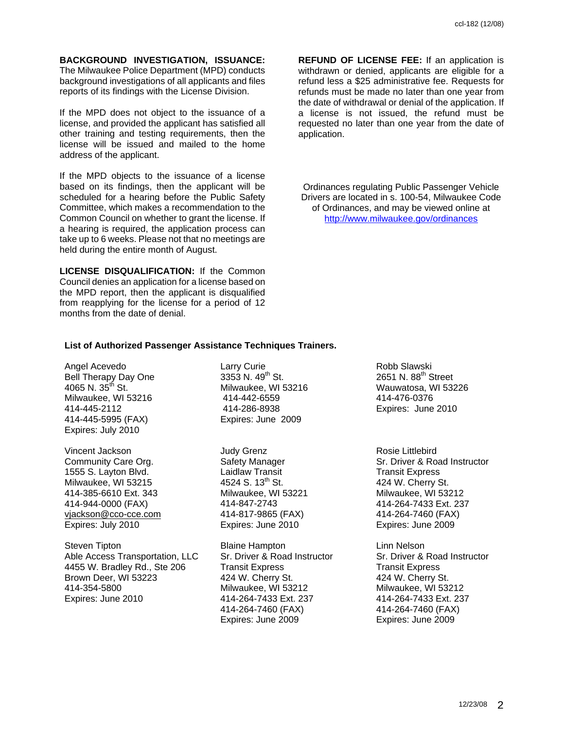**BACKGROUND INVESTIGATION, ISSUANCE:**  The Milwaukee Police Department (MPD) conducts background investigations of all applicants and files reports of its findings with the License Division.

If the MPD does not object to the issuance of a license, and provided the applicant has satisfied all other training and testing requirements, then the license will be issued and mailed to the home address of the applicant.

If the MPD objects to the issuance of a license based on its findings, then the applicant will be scheduled for a hearing before the Public Safety Committee, which makes a recommendation to the Common Council on whether to grant the license. If a hearing is required, the application process can take up to 6 weeks. Please not that no meetings are held during the entire month of August.

**LICENSE DISQUALIFICATION:** If the Common Council denies an application for a license based on the MPD report, then the applicant is disqualified from reapplying for the license for a period of 12 months from the date of denial.

**REFUND OF LICENSE FEE:** If an application is withdrawn or denied, applicants are eligible for a refund less a \$25 administrative fee. Requests for refunds must be made no later than one year from the date of withdrawal or denial of the application. If a license is not issued, the refund must be requested no later than one year from the date of application.

Ordinances regulating Public Passenger Vehicle Drivers are located in s. 100-54, Milwaukee Code of Ordinances, and may be viewed online at http://www.milwaukee.gov/ordinances

## **List of Authorized Passenger Assistance Techniques Trainers.**

Angel Acevedo Bell Therapy Day One 4065 N.  $35^{th}$  St. Milwaukee, WI 53216 414-445-2112 414-445-5995 (FAX) Expires: July 2010

Vincent Jackson Community Care Org. 1555 S. Layton Blvd. Milwaukee, WI 53215 414-385-6610 Ext. 343 414-944-0000 (FAX) vjackson@cco-cce.com Expires: July 2010

Steven Tipton Able Access Transportation, LLC 4455 W. Bradley Rd., Ste 206 Brown Deer, WI 53223 414-354-5800 Expires: June 2010

Larry Curie 3353 N. 49<sup>th</sup> St. Milwaukee, WI 53216 414-442-6559 414-286-8938 Expires: June 2009

Judy Grenz Safety Manager Laidlaw Transit 4524 S.  $13^{th}$  St. Milwaukee, WI 53221 414-847-2743 414-817-9865 (FAX) Expires: June 2010

Blaine Hampton Sr. Driver & Road Instructor Transit Express 424 W. Cherry St. Milwaukee, WI 53212 414-264-7433 Ext. 237 414-264-7460 (FAX) Expires: June 2009

Robb Slawski 2651 N. 88th Street Wauwatosa, WI 53226 414-476-0376 Expires: June 2010

Rosie Littlebird Sr. Driver & Road Instructor Transit Express 424 W. Cherry St. Milwaukee, WI 53212 414-264-7433 Ext. 237 414-264-7460 (FAX) Expires: June 2009

Linn Nelson Sr. Driver & Road Instructor Transit Express 424 W. Cherry St. Milwaukee, WI 53212 414-264-7433 Ext. 237 414-264-7460 (FAX) Expires: June 2009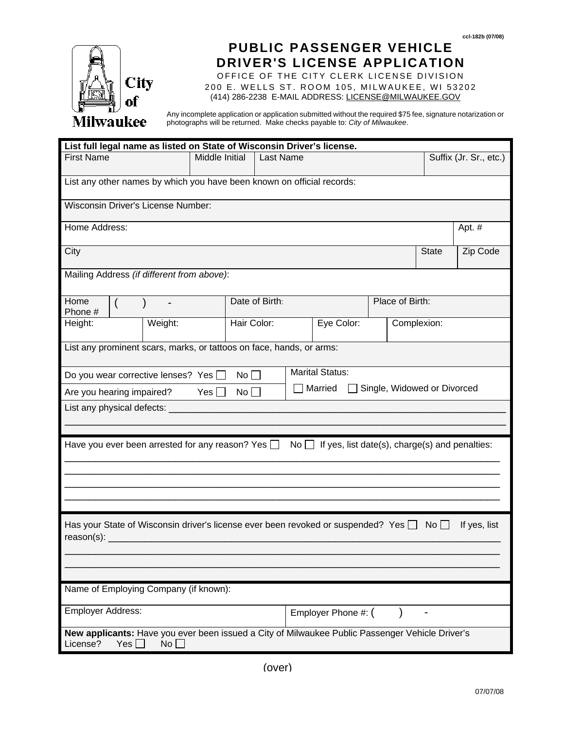

## **PUBLIC PASSENGER VEHICLE DRIVER'S LICENSE APPLICATION**

OFFICE OF THE CITY CLERK LICENSE DIVISION 200 E. WELLS ST. ROOM 105, MILWAUKEE, WI 53202 (414) 286-2238 E-MAIL ADDRESS: LICENSE@MILWAUKEE.GOV

Any incomplete application or application submitted without the required \$75 fee, signature notarization or photographs will be returned. Make checks payable to: *City of Milwaukee*.

| List full legal name as listed on State of Wisconsin Driver's license.                                                             |         |                       |                |  |                                       |                 |  |              |                        |  |
|------------------------------------------------------------------------------------------------------------------------------------|---------|-----------------------|----------------|--|---------------------------------------|-----------------|--|--------------|------------------------|--|
| <b>First Name</b>                                                                                                                  |         | <b>Middle Initial</b> | Last Name      |  |                                       |                 |  |              | Suffix (Jr. Sr., etc.) |  |
| List any other names by which you have been known on official records:                                                             |         |                       |                |  |                                       |                 |  |              |                        |  |
| Wisconsin Driver's License Number:                                                                                                 |         |                       |                |  |                                       |                 |  |              |                        |  |
| Home Address:                                                                                                                      |         |                       |                |  |                                       |                 |  |              | Apt. #                 |  |
| City                                                                                                                               |         |                       |                |  |                                       |                 |  | <b>State</b> | Zip Code               |  |
| Mailing Address (if different from above):                                                                                         |         |                       |                |  |                                       |                 |  |              |                        |  |
| Home<br>$\overline{(}$<br>Phone #                                                                                                  |         |                       | Date of Birth: |  |                                       | Place of Birth: |  |              |                        |  |
| Height:                                                                                                                            | Weight: |                       | Hair Color:    |  | Eye Color:<br>Complexion:             |                 |  |              |                        |  |
| List any prominent scars, marks, or tattoos on face, hands, or arms:                                                               |         |                       |                |  |                                       |                 |  |              |                        |  |
| Do you wear corrective lenses? Yes $\Box$                                                                                          |         | $No \Box$             |                |  | <b>Marital Status:</b>                |                 |  |              |                        |  |
| Single, Widowed or Divorced<br>Married<br>Are you hearing impaired?<br>Yes $\Box$<br>No                                            |         |                       |                |  |                                       |                 |  |              |                        |  |
| List any physical defects:                                                                                                         |         |                       |                |  |                                       |                 |  |              |                        |  |
|                                                                                                                                    |         |                       |                |  |                                       |                 |  |              |                        |  |
| Have you ever been arrested for any reason? Yes $\Box$<br>No $\Box$ If yes, list date(s), charge(s) and penalties:                 |         |                       |                |  |                                       |                 |  |              |                        |  |
|                                                                                                                                    |         |                       |                |  |                                       |                 |  |              |                        |  |
|                                                                                                                                    |         |                       |                |  |                                       |                 |  |              |                        |  |
|                                                                                                                                    |         |                       |                |  |                                       |                 |  |              |                        |  |
| Has your State of Wisconsin driver's license ever been revoked or suspended? Yes $\Box$ No $\Box$<br>If yes, list<br>$reason(s)$ : |         |                       |                |  |                                       |                 |  |              |                        |  |
|                                                                                                                                    |         |                       |                |  |                                       |                 |  |              |                        |  |
|                                                                                                                                    |         |                       |                |  |                                       |                 |  |              |                        |  |
| Name of Employing Company (if known):                                                                                              |         |                       |                |  |                                       |                 |  |              |                        |  |
| <b>Employer Address:</b>                                                                                                           |         |                       |                |  | Employer Phone #: (<br>$\overline{a}$ |                 |  |              |                        |  |
| New applicants: Have you ever been issued a City of Milwaukee Public Passenger Vehicle Driver's<br>License?<br>Yes<br>No           |         |                       |                |  |                                       |                 |  |              |                        |  |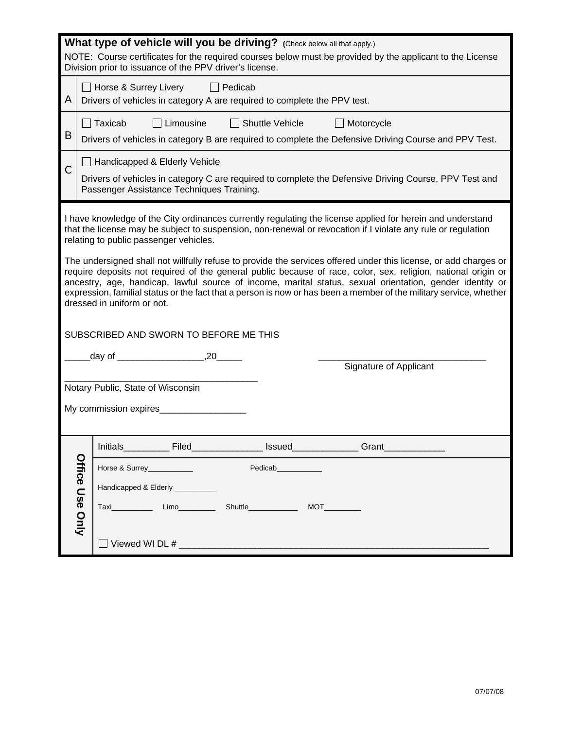| What type of vehicle will you be driving? (Check below all that apply.)<br>NOTE: Course certificates for the required courses below must be provided by the applicant to the License<br>Division prior to issuance of the PPV driver's license.                                                                                                                                                                                                                                                           |                 |                                                                                                                                                                                     |  |  |  |  |  |  |  |
|-----------------------------------------------------------------------------------------------------------------------------------------------------------------------------------------------------------------------------------------------------------------------------------------------------------------------------------------------------------------------------------------------------------------------------------------------------------------------------------------------------------|-----------------|-------------------------------------------------------------------------------------------------------------------------------------------------------------------------------------|--|--|--|--|--|--|--|
| A                                                                                                                                                                                                                                                                                                                                                                                                                                                                                                         |                 | □ Horse & Surrey Livery □ Pedicab<br>Drivers of vehicles in category A are required to complete the PPV test.                                                                       |  |  |  |  |  |  |  |
| Β                                                                                                                                                                                                                                                                                                                                                                                                                                                                                                         |                 | Taxicab<br>Limousine<br>$\Box$ Shuttle Vehicle<br>$\Box$ Motorcycle<br>Drivers of vehicles in category B are required to complete the Defensive Driving Course and PPV Test.        |  |  |  |  |  |  |  |
| C                                                                                                                                                                                                                                                                                                                                                                                                                                                                                                         |                 | Handicapped & Elderly Vehicle<br>Drivers of vehicles in category C are required to complete the Defensive Driving Course, PPV Test and<br>Passenger Assistance Techniques Training. |  |  |  |  |  |  |  |
| I have knowledge of the City ordinances currently regulating the license applied for herein and understand<br>that the license may be subject to suspension, non-renewal or revocation if I violate any rule or regulation<br>relating to public passenger vehicles.<br>The undersigned shall not willfully refuse to provide the services offered under this license, or add charges or<br>require deposits not required of the general public because of race, color, sex, religion, national origin or |                 |                                                                                                                                                                                     |  |  |  |  |  |  |  |
| ancestry, age, handicap, lawful source of income, marital status, sexual orientation, gender identity or<br>expression, familial status or the fact that a person is now or has been a member of the military service, whether<br>dressed in uniform or not.<br>SUBSCRIBED AND SWORN TO BEFORE ME THIS                                                                                                                                                                                                    |                 |                                                                                                                                                                                     |  |  |  |  |  |  |  |
|                                                                                                                                                                                                                                                                                                                                                                                                                                                                                                           |                 | Signature of Applicant                                                                                                                                                              |  |  |  |  |  |  |  |
| Notary Public, State of Wisconsin<br>My commission expires                                                                                                                                                                                                                                                                                                                                                                                                                                                |                 |                                                                                                                                                                                     |  |  |  |  |  |  |  |
|                                                                                                                                                                                                                                                                                                                                                                                                                                                                                                           |                 | _Issued_______________<br>Grant                                                                                                                                                     |  |  |  |  |  |  |  |
|                                                                                                                                                                                                                                                                                                                                                                                                                                                                                                           |                 | Horse & Surrey___________<br>Pedicab____________                                                                                                                                    |  |  |  |  |  |  |  |
|                                                                                                                                                                                                                                                                                                                                                                                                                                                                                                           |                 | Handicapped & Elderly _________                                                                                                                                                     |  |  |  |  |  |  |  |
|                                                                                                                                                                                                                                                                                                                                                                                                                                                                                                           | Office Use Only | Shuttle______________<br>MOT                                                                                                                                                        |  |  |  |  |  |  |  |
|                                                                                                                                                                                                                                                                                                                                                                                                                                                                                                           |                 |                                                                                                                                                                                     |  |  |  |  |  |  |  |